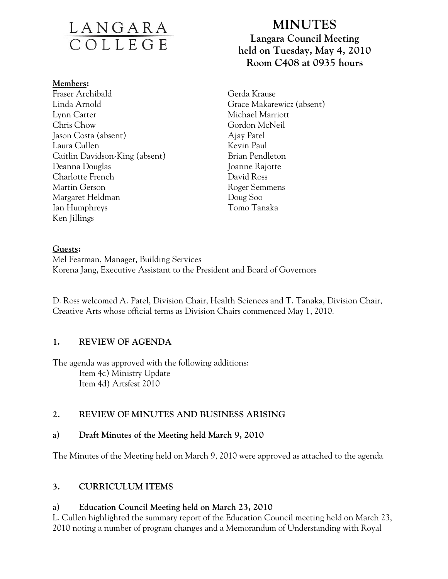# <u>LANGARA</u><br>COLLEGE

#### **Members:**

Fraser Archibald Linda Arnold Lynn Carter Chris Chow Jason Costa (absent) Laura Cullen Caitlin Davidson-King (absent) Deanna Douglas Charlotte French Martin Gerson Margaret Heldman Ian Humphreys Ken Jillings

# **MINUTES Langara Council Meeting held on Tuesday, May 4, 2010 Room C408 at 0935 hours**

Gerda Krause Grace Makarewicz (absent) Michael Marriott Gordon McNeil Ajay Patel Kevin Paul Brian Pendleton Joanne Rajotte David Ross Roger Semmens Doug Soo Tomo Tanaka

### **Guests:**

Mel Fearman, Manager, Building Services Korena Jang, Executive Assistant to the President and Board of Governors

D. Ross welcomed A. Patel, Division Chair, Health Sciences and T. Tanaka, Division Chair, Creative Arts whose official terms as Division Chairs commenced May 1, 2010.

## **1. REVIEW OF AGENDA**

The agenda was approved with the following additions: Item 4c) Ministry Update Item 4d) Artsfest 2010

## **2. REVIEW OF MINUTES AND BUSINESS ARISING**

## **a) Draft Minutes of the Meeting held March 9, 2010**

The Minutes of the Meeting held on March 9, 2010 were approved as attached to the agenda.

## **3. CURRICULUM ITEMS**

# **a) Education Council Meeting held on March 23, 2010**

L. Cullen highlighted the summary report of the Education Council meeting held on March 23, 2010 noting a number of program changes and a Memorandum of Understanding with Royal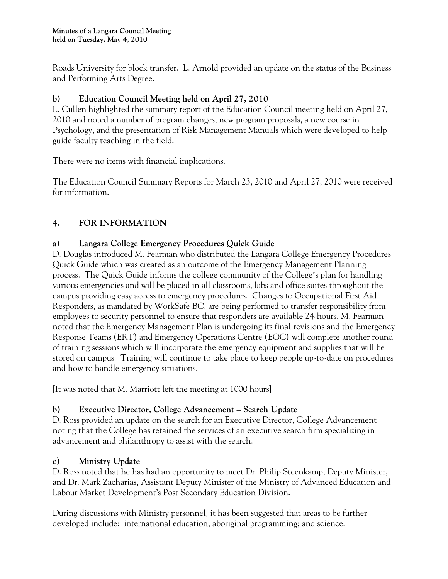Roads University for block transfer. L. Arnold provided an update on the status of the Business and Performing Arts Degree.

## **b) Education Council Meeting held on April 27, 2010**

L. Cullen highlighted the summary report of the Education Council meeting held on April 27, 2010 and noted a number of program changes, new program proposals, a new course in Psychology, and the presentation of Risk Management Manuals which were developed to help guide faculty teaching in the field.

There were no items with financial implications.

The Education Council Summary Reports for March 23, 2010 and April 27, 2010 were received for information.

# **4. FOR INFORMATION**

## **a) Langara College Emergency Procedures Quick Guide**

D. Douglas introduced M. Fearman who distributed the Langara College Emergency Procedures Quick Guide which was created as an outcome of the Emergency Management Planning process. The Quick Guide informs the college community of the College's plan for handling various emergencies and will be placed in all classrooms, labs and office suites throughout the campus providing easy access to emergency procedures. Changes to Occupational First Aid Responders, as mandated by WorkSafe BC, are being performed to transfer responsibility from employees to security personnel to ensure that responders are available 24-hours. M. Fearman noted that the Emergency Management Plan is undergoing its final revisions and the Emergency Response Teams (ERT) and Emergency Operations Centre (EOC**)** will complete another round of training sessions which will incorporate the emergency equipment and supplies that will be stored on campus. Training will continue to take place to keep people up-to-date on procedures and how to handle emergency situations.

[It was noted that M. Marriott left the meeting at 1000 hours]

## **b) Executive Director, College Advancement – Search Update**

D. Ross provided an update on the search for an Executive Director, College Advancement noting that the College has retained the services of an executive search firm specializing in advancement and philanthropy to assist with the search.

## **c) Ministry Update**

D. Ross noted that he has had an opportunity to meet Dr. Philip Steenkamp, Deputy Minister, and Dr. Mark Zacharias, Assistant Deputy Minister of the Ministry of Advanced Education and Labour Market Development's Post Secondary Education Division.

During discussions with Ministry personnel, it has been suggested that areas to be further developed include: international education; aboriginal programming; and science.